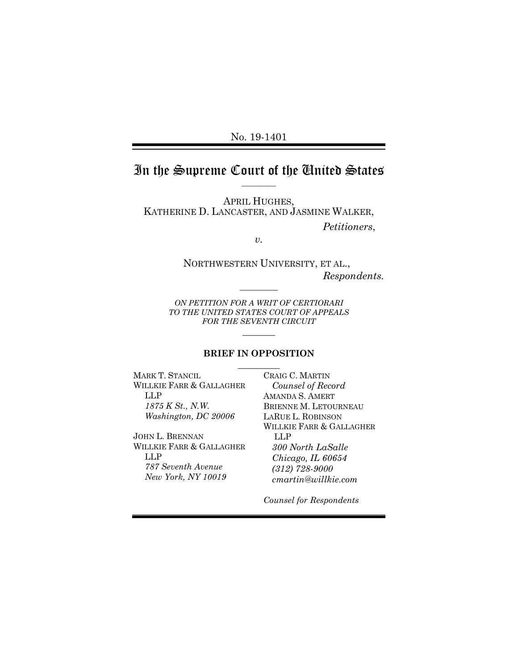No. 19-1401

### In the Supreme Court of the United States  $\overline{\phantom{a}}$  . The contract of  $\overline{\phantom{a}}$

APRIL HUGHES, KATHERINE D. LANCASTER, AND JASMINE WALKER, *Petitioners*,

*v.*

NORTHWESTERN UNIVERSITY, ET AL., *Respondents.*

*ON PETITION FOR A WRIT OF CERTIORARI TO THE UNITED STATES COURT OF APPEALS FOR THE SEVENTH CIRCUIT*

 $\overline{\phantom{a}}$ 

 $\overline{\phantom{a}}$ 

#### **BRIEF IN OPPOSITION**  $\frac{1}{2}$

MARK T. STANCIL WILLKIE FARR & GALLAGHER LLP *1875 K St., N.W. Washington, DC 20006*

JOHN L. BRENNAN WILLKIE FARR & GALLAGHER LLP *787 Seventh Avenue New York, NY 10019*

CRAIG C. MARTIN *Counsel of Record* AMANDA S. AMERT BRIENNE M. LETOURNEAU LARUE L. ROBINSON WILLKIE FARR & GALLAGHER LLP *300 North LaSalle Chicago, IL 60654 (312) 728-9000 cmartin@willkie.com*

*Counsel for Respondents*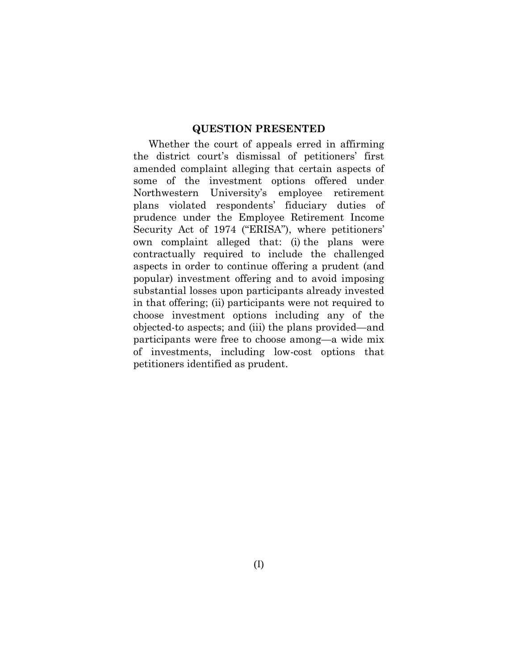#### **QUESTION PRESENTED**

Whether the court of appeals erred in affirming the district court's dismissal of petitioners' first amended complaint alleging that certain aspects of some of the investment options offered under Northwestern University's employee retirement plans violated respondents' fiduciary duties of prudence under the Employee Retirement Income Security Act of 1974 ("ERISA"), where petitioners' own complaint alleged that: (i) the plans were contractually required to include the challenged aspects in order to continue offering a prudent (and popular) investment offering and to avoid imposing substantial losses upon participants already invested in that offering; (ii) participants were not required to choose investment options including any of the objected-to aspects; and (iii) the plans provided—and participants were free to choose among—a wide mix of investments, including low-cost options that petitioners identified as prudent.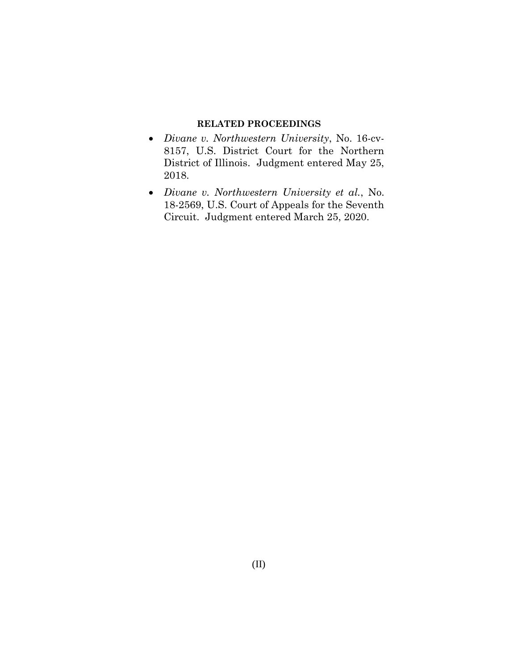#### **RELATED PROCEEDINGS**

- *Divane v. Northwestern University*, No. 16-cv-8157, U.S. District Court for the Northern District of Illinois. Judgment entered May 25, 2018.
- *Divane v. Northwestern University et al.*, No. 18-2569, U.S. Court of Appeals for the Seventh Circuit. Judgment entered March 25, 2020.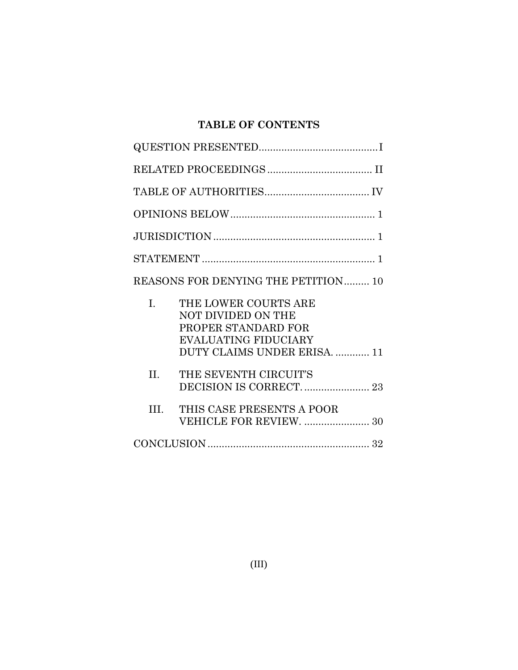# **TABLE OF CONTENTS**

|         | REASONS FOR DENYING THE PETITION 10                                                                                              |
|---------|----------------------------------------------------------------------------------------------------------------------------------|
| I.      | THE LOWER COURTS ARE<br>NOT DIVIDED ON THE<br>PROPER STANDARD FOR<br><b>EVALUATING FIDUCIARY</b><br>DUTY CLAIMS UNDER ERISA.  11 |
| $\Pi$ . | THE SEVENTH CIRCUIT'S<br>DECISION IS CORRECT.  23                                                                                |
| HI.     | THIS CASE PRESENTS A POOR<br>VEHICLE FOR REVIEW.  30                                                                             |
|         |                                                                                                                                  |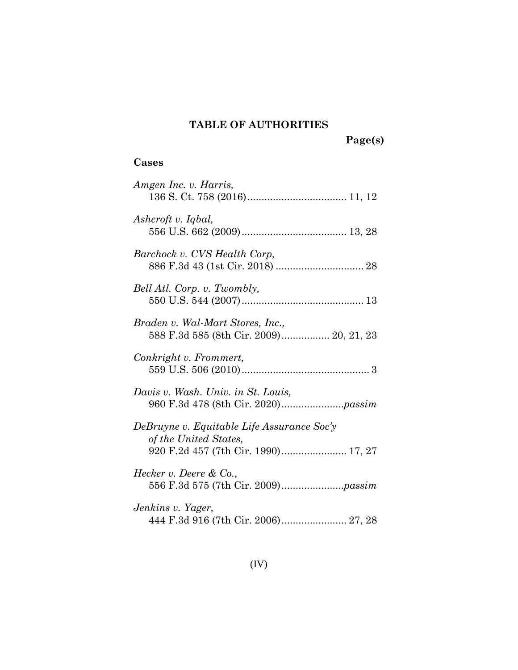# **TABLE OF AUTHORITIES**

# **Cases**

| Amgen Inc. v. Harris,                                                                                      |
|------------------------------------------------------------------------------------------------------------|
| Ashcroft v. Iqbal,                                                                                         |
| Barchock v. CVS Health Corp,                                                                               |
| Bell Atl. Corp. v. Twombly,                                                                                |
| Braden v. Wal-Mart Stores, Inc.,                                                                           |
| Conkright v. Frommert,                                                                                     |
| Davis v. Wash. Univ. in St. Louis,                                                                         |
| DeBruyne v. Equitable Life Assurance Soc'y<br>of the United States,<br>920 F.2d 457 (7th Cir. 1990) 17, 27 |
| <i>Hecker v. Deere &amp; Co.</i> ,                                                                         |
| Jenkins v. Yager,<br>444 F.3d 916 (7th Cir. 2006) 27, 28                                                   |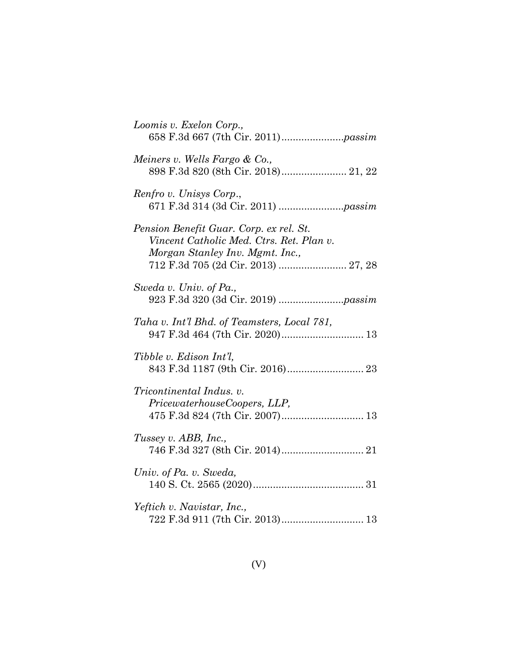| Loomis v. Exelon Corp.,                                                                                                                                       |
|---------------------------------------------------------------------------------------------------------------------------------------------------------------|
| Meiners v. Wells Fargo & Co.,<br>898 F.3d 820 (8th Cir. 2018) 21, 22                                                                                          |
| Renfro v. Unisys Corp.,                                                                                                                                       |
| Pension Benefit Guar. Corp. ex rel. St.<br>Vincent Catholic Med. Ctrs. Ret. Plan v.<br>Morgan Stanley Inv. Mgmt. Inc.,<br>712 F.3d 705 (2d Cir. 2013)  27, 28 |
| Sweda v. Univ. of Pa.,                                                                                                                                        |
| Taha v. Int'l Bhd. of Teamsters, Local 781,                                                                                                                   |
| Tibble v. Edison Int'l,                                                                                                                                       |
| <i>Tricontinental Indus. v.</i><br>PricewaterhouseCoopers, LLP,<br>475 F.3d 824 (7th Cir. 2007) 13                                                            |
| Tussey v. ABB, Inc.,                                                                                                                                          |
| Univ. of Pa. v. Sweda,                                                                                                                                        |
| Yeftich v. Navistar, Inc.,<br>722 F.3d 911 (7th Cir. 2013) 13                                                                                                 |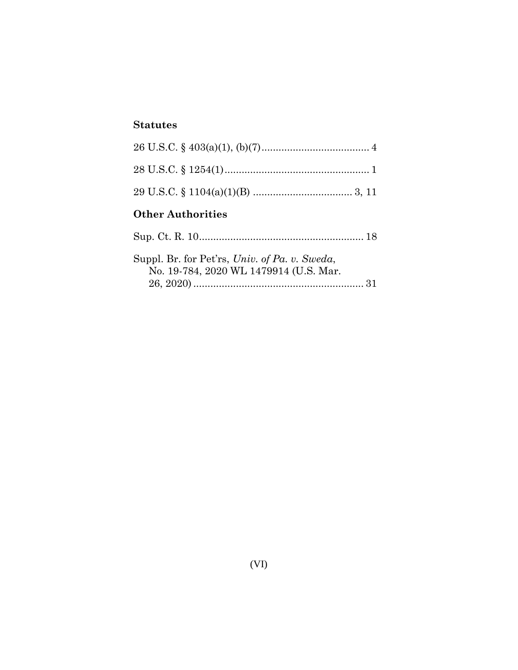## **Statutes**

| <b>Other Authorities</b>                                                                |  |
|-----------------------------------------------------------------------------------------|--|
|                                                                                         |  |
| Suppl. Br. for Pet'rs, Univ. of Pa. v. Sweda,<br>No. 19-784, 2020 WL 1479914 (U.S. Mar. |  |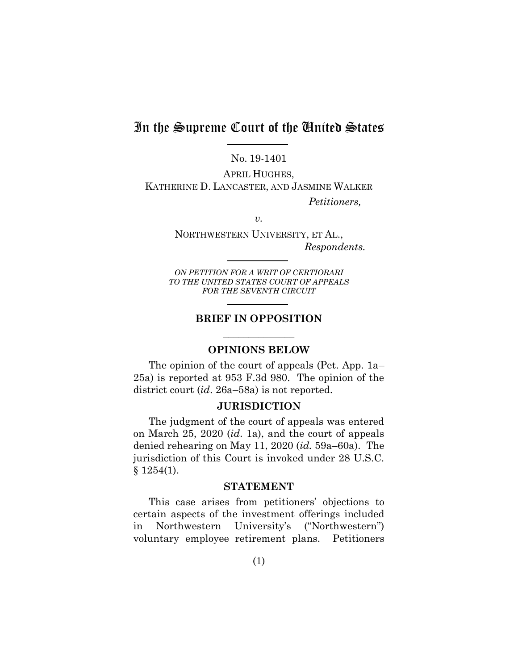# In the Supreme Court of the United States

No. 19-1401

APRIL HUGHES, KATHERINE D. LANCASTER, AND JASMINE WALKER

*Petitioners,*

*v.*

NORTHWESTERN UNIVERSITY, ET AL., *Respondents.*

*ON PETITION FOR A WRIT OF CERTIORARI TO THE UNITED STATES COURT OF APPEALS FOR THE SEVENTH CIRCUIT*

## **BRIEF IN OPPOSITION** \_\_\_\_\_\_\_\_\_\_\_\_\_\_

#### **OPINIONS BELOW**

The opinion of the court of appeals (Pet. App. 1a– 25a) is reported at 953 F.3d 980. The opinion of the district court (*id*. 26a–58a) is not reported.

#### **JURISDICTION**

The judgment of the court of appeals was entered on March 25, 2020 (*id*. 1a), and the court of appeals denied rehearing on May 11, 2020 (*id.* 59a–60a). The jurisdiction of this Court is invoked under 28 U.S.C.  $§ 1254(1).$ 

#### <span id="page-7-0"></span>**STATEMENT**

This case arises from petitioners' objections to certain aspects of the investment offerings included in Northwestern University's ("Northwestern") voluntary employee retirement plans. Petitioners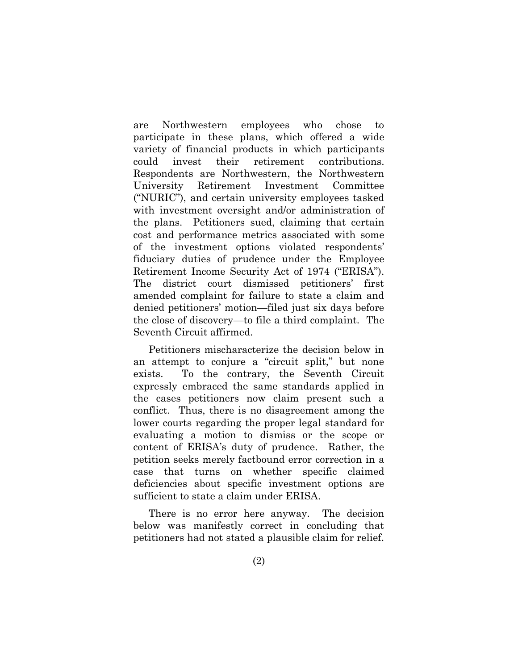are Northwestern employees who chose to participate in these plans, which offered a wide variety of financial products in which participants could invest their retirement contributions. Respondents are Northwestern, the Northwestern University Retirement Investment Committee ("NURIC"), and certain university employees tasked with investment oversight and/or administration of the plans. Petitioners sued, claiming that certain cost and performance metrics associated with some of the investment options violated respondents' fiduciary duties of prudence under the Employee Retirement Income Security Act of 1974 ("ERISA"). The district court dismissed petitioners' first amended complaint for failure to state a claim and denied petitioners' motion—filed just six days before the close of discovery—to file a third complaint. The Seventh Circuit affirmed.

Petitioners mischaracterize the decision below in an attempt to conjure a "circuit split," but none exists. To the contrary, the Seventh Circuit expressly embraced the same standards applied in the cases petitioners now claim present such a conflict. Thus, there is no disagreement among the lower courts regarding the proper legal standard for evaluating a motion to dismiss or the scope or content of ERISA's duty of prudence. Rather, the petition seeks merely factbound error correction in a case that turns on whether specific claimed deficiencies about specific investment options are sufficient to state a claim under ERISA.

There is no error here anyway. The decision below was manifestly correct in concluding that petitioners had not stated a plausible claim for relief.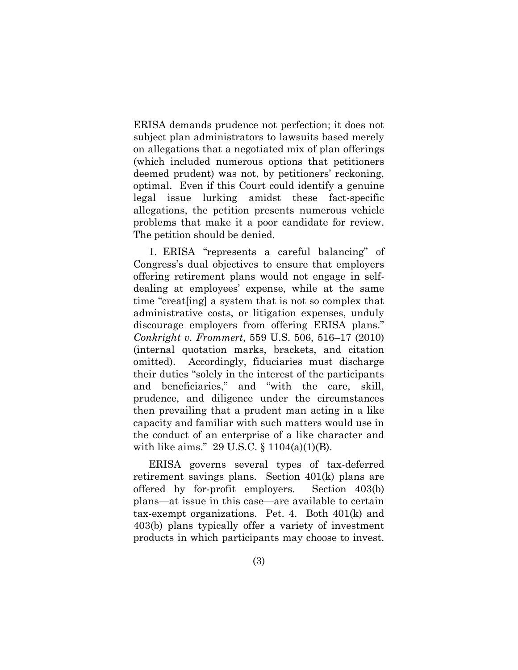ERISA demands prudence not perfection; it does not subject plan administrators to lawsuits based merely on allegations that a negotiated mix of plan offerings (which included numerous options that petitioners deemed prudent) was not, by petitioners' reckoning, optimal. Even if this Court could identify a genuine legal issue lurking amidst these fact-specific allegations, the petition presents numerous vehicle problems that make it a poor candidate for review. The petition should be denied.

<span id="page-9-0"></span>1. ERISA "represents a careful balancing" of Congress's dual objectives to ensure that employers offering retirement plans would not engage in selfdealing at employees' expense, while at the same time "creat[ing] a system that is not so complex that administrative costs, or litigation expenses, unduly discourage employers from offering ERISA plans." *Conkright v. Frommert*, 559 U.S. 506, 516–17 (2010) (internal quotation marks, brackets, and citation omitted). Accordingly, fiduciaries must discharge their duties "solely in the interest of the participants and beneficiaries," and "with the care, skill, prudence, and diligence under the circumstances then prevailing that a prudent man acting in a like capacity and familiar with such matters would use in the conduct of an enterprise of a like character and with like aims." 29 U.S.C. § 1104(a)(1)(B).

<span id="page-9-1"></span>ERISA governs several types of tax-deferred retirement savings plans. Section 401(k) plans are offered by for-profit employers. Section 403(b) plans—at issue in this case—are available to certain tax-exempt organizations. Pet. 4. Both 401(k) and 403(b) plans typically offer a variety of investment products in which participants may choose to invest.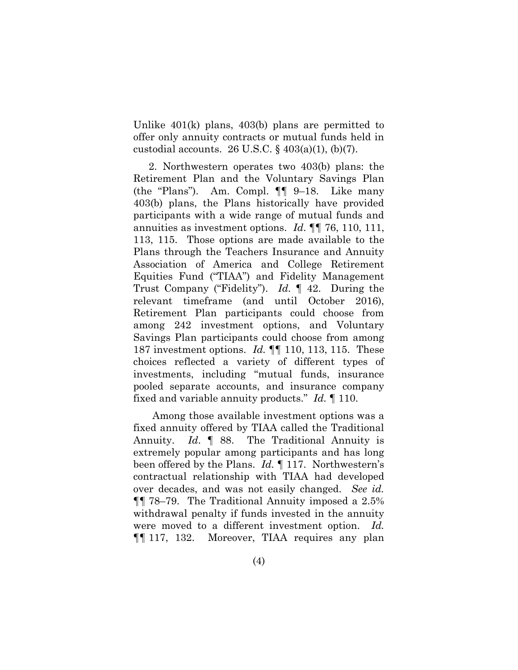Unlike 401(k) plans, 403(b) plans are permitted to offer only annuity contracts or mutual funds held in custodial accounts. 26 U.S.C.  $\S$  403(a)(1), (b)(7).

<span id="page-10-0"></span>2. Northwestern operates two 403(b) plans: the Retirement Plan and the Voluntary Savings Plan (the "Plans"). Am. Compl. ¶¶ 9–18. Like many 403(b) plans, the Plans historically have provided participants with a wide range of mutual funds and annuities as investment options. *Id*. ¶¶ 76, 110, 111, 113, 115. Those options are made available to the Plans through the Teachers Insurance and Annuity Association of America and College Retirement Equities Fund ("TIAA") and Fidelity Management Trust Company ("Fidelity"). *Id.* ¶ 42. During the relevant timeframe (and until October 2016), Retirement Plan participants could choose from among 242 investment options, and Voluntary Savings Plan participants could choose from among 187 investment options. *Id.* ¶¶ 110, 113, 115. These choices reflected a variety of different types of investments, including "mutual funds, insurance pooled separate accounts, and insurance company fixed and variable annuity products." *Id.* ¶ 110.

Among those available investment options was a fixed annuity offered by TIAA called the Traditional Annuity. *Id*. ¶ 88. The Traditional Annuity is extremely popular among participants and has long been offered by the Plans. *Id.* ¶ 117. Northwestern's contractual relationship with TIAA had developed over decades, and was not easily changed. *See id.* ¶¶ 78–79. The Traditional Annuity imposed a 2.5% withdrawal penalty if funds invested in the annuity were moved to a different investment option. *Id.* ¶¶ 117, 132. Moreover, TIAA requires any plan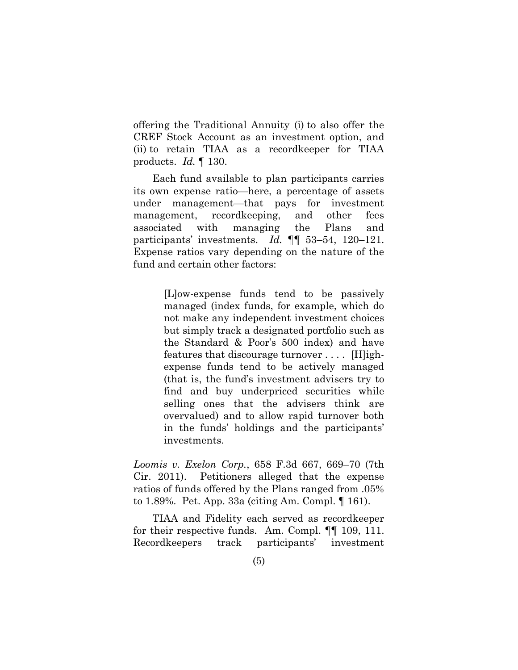offering the Traditional Annuity (i) to also offer the CREF Stock Account as an investment option, and (ii) to retain TIAA as a recordkeeper for TIAA products. *Id.* ¶ 130.

Each fund available to plan participants carries its own expense ratio—here, a percentage of assets under management—that pays for investment management, recordkeeping, and other fees associated with managing the Plans and participants' investments. *Id.* ¶¶ 53–54, 120–121. Expense ratios vary depending on the nature of the fund and certain other factors:

> [L]ow-expense funds tend to be passively managed (index funds, for example, which do not make any independent investment choices but simply track a designated portfolio such as the Standard & Poor's 500 index) and have features that discourage turnover . . . . [H]ighexpense funds tend to be actively managed (that is, the fund's investment advisers try to find and buy underpriced securities while selling ones that the advisers think are overvalued) and to allow rapid turnover both in the funds' holdings and the participants' investments.

<span id="page-11-0"></span>*Loomis v. Exelon Corp.*, 658 F.3d 667, 669–70 (7th Cir. 2011). Petitioners alleged that the expense ratios of funds offered by the Plans ranged from .05% to 1.89%. Pet. App. 33a (citing Am. Compl. ¶ 161).

TIAA and Fidelity each served as recordkeeper for their respective funds. Am. Compl. ¶¶ 109, 111. Recordkeepers track participants' investment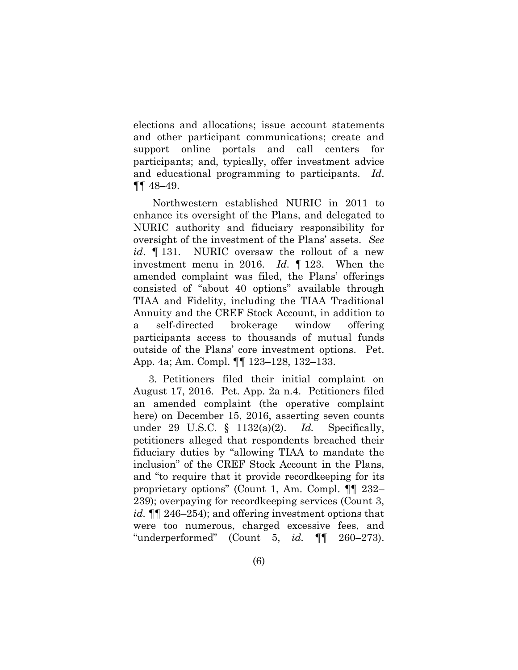elections and allocations; issue account statements and other participant communications; create and support online portals and call centers for participants; and, typically, offer investment advice and educational programming to participants. *Id*. ¶¶ 48–49.

Northwestern established NURIC in 2011 to enhance its oversight of the Plans, and delegated to NURIC authority and fiduciary responsibility for oversight of the investment of the Plans' assets. *See id*. ¶ 131. NURIC oversaw the rollout of a new investment menu in 2016. *Id.* ¶ 123. When the amended complaint was filed, the Plans' offerings consisted of "about 40 options" available through TIAA and Fidelity, including the TIAA Traditional Annuity and the CREF Stock Account, in addition to a self-directed brokerage window offering participants access to thousands of mutual funds outside of the Plans' core investment options. Pet. App. 4a; Am. Compl. ¶¶ 123–128, 132–133.

3. Petitioners filed their initial complaint on August 17, 2016. Pet. App. 2a n.4. Petitioners filed an amended complaint (the operative complaint here) on December 15, 2016, asserting seven counts under 29 U.S.C. § 1132(a)(2). *Id.* Specifically, petitioners alleged that respondents breached their fiduciary duties by "allowing TIAA to mandate the inclusion" of the CREF Stock Account in the Plans, and "to require that it provide recordkeeping for its proprietary options" (Count 1, Am. Compl. ¶¶ 232– 239); overpaying for recordkeeping services (Count 3, *id.* ¶¶ 246–254); and offering investment options that were too numerous, charged excessive fees, and "underperformed" (Count 5, *id.* ¶¶ 260–273).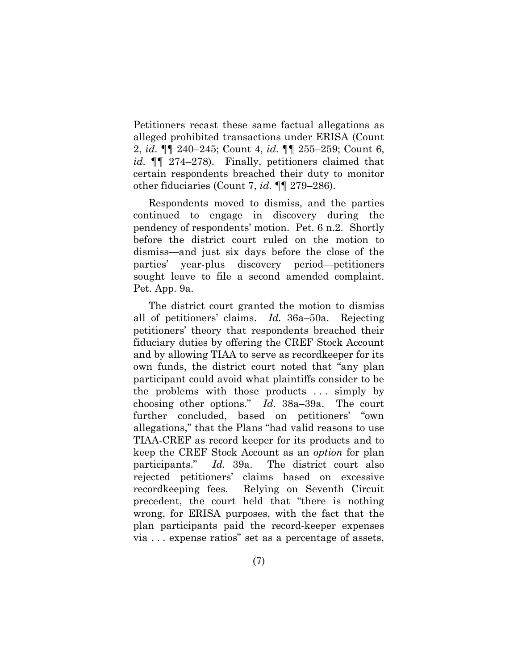Petitioners recast these same factual allegations as alleged prohibited transactions under ERISA (Count 2, *id.* ¶¶ 240–245; Count 4, *id.* ¶¶ 255–259; Count 6, *id.* ¶¶ 274–278). Finally, petitioners claimed that certain respondents breached their duty to monitor other fiduciaries (Count 7, *id.* ¶¶ 279–286).

Respondents moved to dismiss, and the parties continued to engage in discovery during the pendency of respondents' motion. Pet. 6 n.2.Shortly before the district court ruled on the motion to dismiss—and just six days before the close of the parties' year-plus discovery period—petitioners sought leave to file a second amended complaint. Pet. App. 9a.

The district court granted the motion to dismiss all of petitioners' claims. *Id.* 36a–50a. Rejecting petitioners' theory that respondents breached their fiduciary duties by offering the CREF Stock Account and by allowing TIAA to serve as recordkeeper for its own funds, the district court noted that "any plan participant could avoid what plaintiffs consider to be the problems with those products . . . simply by choosing other options." *Id.* 38a–39a. The court further concluded, based on petitioners' "own allegations," that the Plans "had valid reasons to use TIAA-CREF as record keeper for its products and to keep the CREF Stock Account as an *option* for plan participants." *Id.* 39a. The district court also rejected petitioners' claims based on excessive recordkeeping fees. Relying on Seventh Circuit precedent, the court held that "there is nothing wrong, for ERISA purposes, with the fact that the plan participants paid the record-keeper expenses via . . . expense ratios" set as a percentage of assets,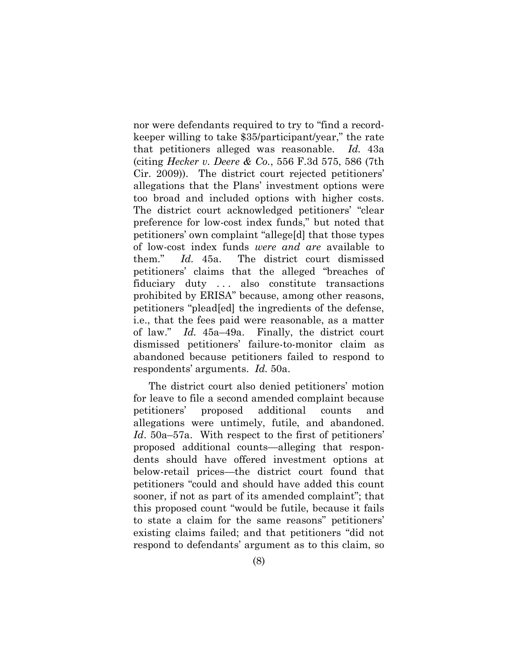<span id="page-14-0"></span>nor were defendants required to try to "find a recordkeeper willing to take \$35/participant/year," the rate that petitioners alleged was reasonable. *Id.* 43a (citing *Hecker v. Deere & Co.*, 556 F.3d 575, 586 (7th Cir. 2009)). The district court rejected petitioners' allegations that the Plans' investment options were too broad and included options with higher costs. The district court acknowledged petitioners' "clear preference for low-cost index funds," but noted that petitioners' own complaint "allege[d] that those types of low-cost index funds *were and are* available to them." *Id.* 45a. The district court dismissed petitioners' claims that the alleged "breaches of fiduciary duty ... also constitute transactions prohibited by ERISA" because, among other reasons, petitioners "plead[ed] the ingredients of the defense, i.e., that the fees paid were reasonable, as a matter of law." *Id.* 45a–49a. Finally, the district court dismissed petitioners' failure-to-monitor claim as abandoned because petitioners failed to respond to respondents' arguments. *Id.* 50a.

The district court also denied petitioners' motion for leave to file a second amended complaint because petitioners' proposed additional counts and allegations were untimely, futile, and abandoned. *Id*. 50a–57a. With respect to the first of petitioners' proposed additional counts—alleging that respondents should have offered investment options at below-retail prices—the district court found that petitioners "could and should have added this count sooner, if not as part of its amended complaint"; that this proposed count "would be futile, because it fails to state a claim for the same reasons" petitioners' existing claims failed; and that petitioners "did not respond to defendants' argument as to this claim, so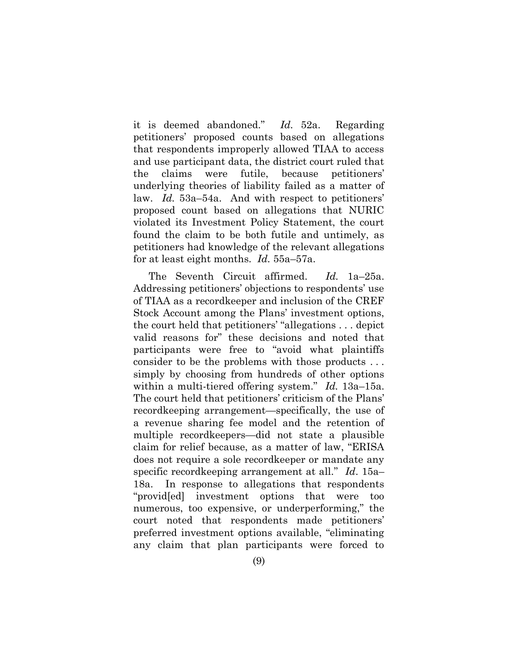it is deemed abandoned." *Id.* 52a. Regarding petitioners' proposed counts based on allegations that respondents improperly allowed TIAA to access and use participant data, the district court ruled that the claims were futile, because petitioners' underlying theories of liability failed as a matter of law. *Id.* 53a–54a. And with respect to petitioners' proposed count based on allegations that NURIC violated its Investment Policy Statement, the court found the claim to be both futile and untimely, as petitioners had knowledge of the relevant allegations for at least eight months. *Id.* 55a–57a.

The Seventh Circuit affirmed. *Id.* 1a–25a. Addressing petitioners' objections to respondents' use of TIAA as a recordkeeper and inclusion of the CREF Stock Account among the Plans' investment options, the court held that petitioners' "allegations . . . depict valid reasons for" these decisions and noted that participants were free to "avoid what plaintiffs consider to be the problems with those products . . . simply by choosing from hundreds of other options within a multi-tiered offering system." *Id.* 13a–15a. The court held that petitioners' criticism of the Plans' recordkeeping arrangement—specifically, the use of a revenue sharing fee model and the retention of multiple recordkeepers—did not state a plausible claim for relief because, as a matter of law, "ERISA does not require a sole recordkeeper or mandate any specific recordkeeping arrangement at all." *Id*. 15a– 18a. In response to allegations that respondents "provid[ed] investment options that were too numerous, too expensive, or underperforming," the court noted that respondents made petitioners' preferred investment options available, "eliminating any claim that plan participants were forced to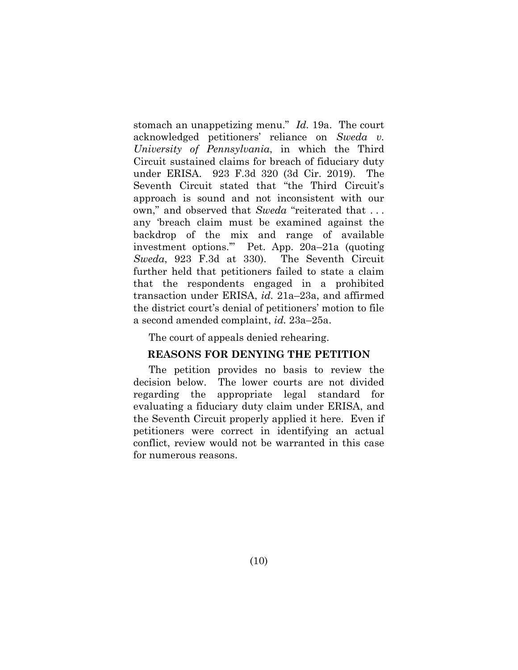<span id="page-16-0"></span>stomach an unappetizing menu." *Id.* 19a. The court acknowledged petitioners' reliance on *Sweda v. University of Pennsylvania*, in which the Third Circuit sustained claims for breach of fiduciary duty under ERISA. 923 F.3d 320 (3d Cir. 2019). The Seventh Circuit stated that "the Third Circuit's approach is sound and not inconsistent with our own," and observed that *Sweda* "reiterated that . . . any 'breach claim must be examined against the backdrop of the mix and range of available investment options.'" Pet. App. 20a–21a (quoting *Sweda*, 923 F.3d at 330). The Seventh Circuit further held that petitioners failed to state a claim that the respondents engaged in a prohibited transaction under ERISA, *id.* 21a–23a, and affirmed the district court's denial of petitioners' motion to file a second amended complaint, *id.* 23a–25a.

The court of appeals denied rehearing.

#### **REASONS FOR DENYING THE PETITION**

The petition provides no basis to review the decision below. The lower courts are not divided regarding the appropriate legal standard for evaluating a fiduciary duty claim under ERISA, and the Seventh Circuit properly applied it here. Even if petitioners were correct in identifying an actual conflict, review would not be warranted in this case for numerous reasons.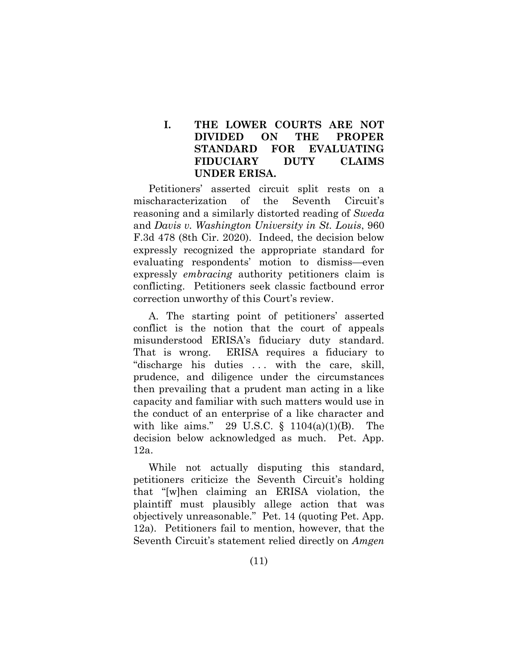### **I. THE LOWER COURTS ARE NOT DIVIDED ON THE PROPER STANDARD FOR EVALUATING FIDUCIARY DUTY CLAIMS UNDER ERISA.**

<span id="page-17-1"></span>Petitioners' asserted circuit split rests on a mischaracterization of the Seventh Circuit's reasoning and a similarly distorted reading of *Sweda* and *Davis v. Washington University in St. Louis*, 960 F.3d 478 (8th Cir. 2020). Indeed, the decision below expressly recognized the appropriate standard for evaluating respondents' motion to dismiss—even expressly *embracing* authority petitioners claim is conflicting. Petitioners seek classic factbound error correction unworthy of this Court's review.

A. The starting point of petitioners' asserted conflict is the notion that the court of appeals misunderstood ERISA's fiduciary duty standard. That is wrong. ERISA requires a fiduciary to "discharge his duties ... with the care, skill, prudence, and diligence under the circumstances then prevailing that a prudent man acting in a like capacity and familiar with such matters would use in the conduct of an enterprise of a like character and with like aims." 29 U.S.C. § 1104(a)(1)(B). The decision below acknowledged as much. Pet. App. 12a.

<span id="page-17-2"></span><span id="page-17-0"></span>While not actually disputing this standard, petitioners criticize the Seventh Circuit's holding that "[w]hen claiming an ERISA violation, the plaintiff must plausibly allege action that was objectively unreasonable." Pet. 14 (quoting Pet. App. 12a). Petitioners fail to mention, however, that the Seventh Circuit's statement relied directly on *Amgen*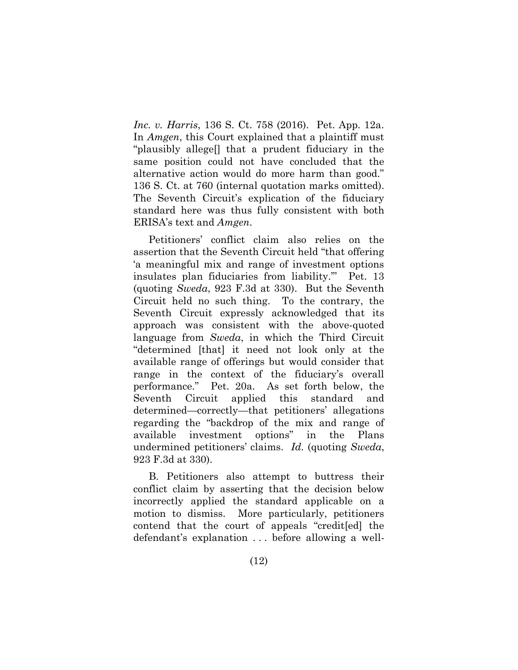*Inc. v. Harris*, 136 S. Ct. 758 (2016). Pet. App. 12a. In *Amgen*, this Court explained that a plaintiff must "plausibly allege[] that a prudent fiduciary in the same position could not have concluded that the alternative action would do more harm than good." 136 S. Ct. at 760 (internal quotation marks omitted). The Seventh Circuit's explication of the fiduciary standard here was thus fully consistent with both ERISA's text and *Amgen*.

<span id="page-18-0"></span>Petitioners' conflict claim also relies on the assertion that the Seventh Circuit held "that offering 'a meaningful mix and range of investment options insulates plan fiduciaries from liability.'" Pet. 13 (quoting *Sweda*, 923 F.3d at 330). But the Seventh Circuit held no such thing. To the contrary, the Seventh Circuit expressly acknowledged that its approach was consistent with the above-quoted language from *Sweda*, in which the Third Circuit "determined [that] it need not look only at the available range of offerings but would consider that range in the context of the fiduciary's overall performance." Pet. 20a. As set forth below, the Seventh Circuit applied this standard and determined—correctly—that petitioners' allegations regarding the "backdrop of the mix and range of available investment options" in the Plans undermined petitioners' claims. *Id.* (quoting *Sweda*, 923 F.3d at 330).

B. Petitioners also attempt to buttress their conflict claim by asserting that the decision below incorrectly applied the standard applicable on a motion to dismiss. More particularly, petitioners contend that the court of appeals "credit[ed] the defendant's explanation . . . before allowing a well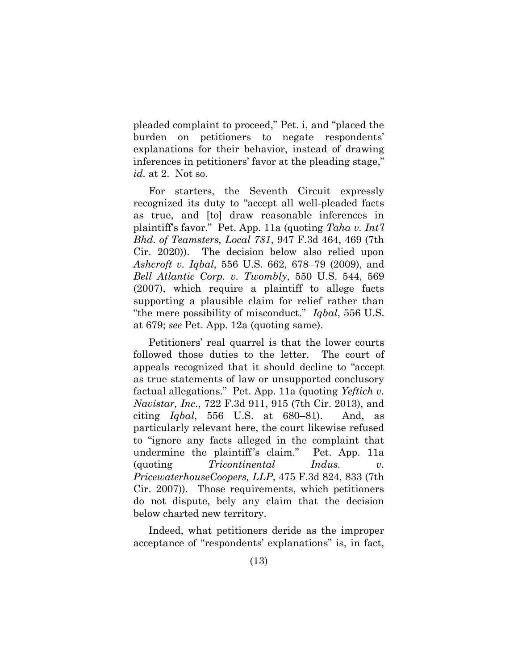pleaded complaint to proceed," Pet. i, and "placed the burden on petitioners to negate respondents' explanations for their behavior, instead of drawing inferences in petitioners' favor at the pleading stage," *id.* at 2. Not so.

<span id="page-19-2"></span><span id="page-19-0"></span>For starters, the Seventh Circuit expressly recognized its duty to "accept all well-pleaded facts as true, and [to] draw reasonable inferences in plaintiff's favor." Pet. App. 11a (quoting *Taha v. Int'l Bhd. of Teamsters, Local 781*, 947 F.3d 464, 469 (7th Cir. 2020)). The decision below also relied upon *Ashcroft v. Iqbal*, 556 U.S. 662, 678–79 (2009), and *Bell Atlantic Corp. v. Twombly*, 550 U.S. 544, 569 (2007), which require a plaintiff to allege facts supporting a plausible claim for relief rather than "the mere possibility of misconduct." *Iqbal*, 556 U.S. at 679; *see* Pet. App. 12a (quoting same).

<span id="page-19-4"></span><span id="page-19-1"></span>Petitioners' real quarrel is that the lower courts followed those duties to the letter. The court of appeals recognized that it should decline to "accept as true statements of law or unsupported conclusory factual allegations." Pet. App. 11a (quoting *Yeftich v. Navistar, Inc.*, 722 F.3d 911, 915 (7th Cir. 2013), and citing *Iqbal*, 556 U.S. at 680–81). And, as particularly relevant here, the court likewise refused to "ignore any facts alleged in the complaint that undermine the plaintiff's claim." Pet. App. 11a (quoting *Tricontinental Indus. v. PricewaterhouseCoopers, LLP*, 475 F.3d 824, 833 (7th Cir. 2007)). Those requirements, which petitioners do not dispute, bely any claim that the decision below charted new territory.

<span id="page-19-3"></span>Indeed, what petitioners deride as the improper acceptance of "respondents' explanations" is, in fact,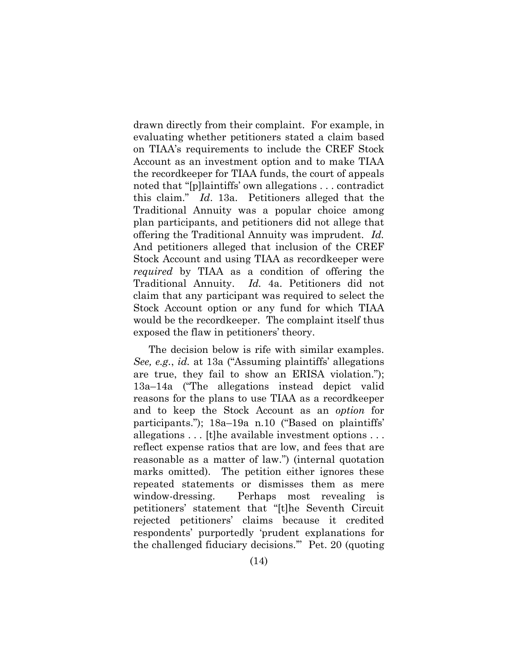drawn directly from their complaint. For example, in evaluating whether petitioners stated a claim based on TIAA's requirements to include the CREF Stock Account as an investment option and to make TIAA the recordkeeper for TIAA funds, the court of appeals noted that "[p]laintiffs' own allegations . . . contradict this claim." *Id*. 13a. Petitioners alleged that the Traditional Annuity was a popular choice among plan participants, and petitioners did not allege that offering the Traditional Annuity was imprudent. *Id.*  And petitioners alleged that inclusion of the CREF Stock Account and using TIAA as recordkeeper were *required* by TIAA as a condition of offering the Traditional Annuity. *Id.* 4a. Petitioners did not claim that any participant was required to select the Stock Account option or any fund for which TIAA would be the recordkeeper. The complaint itself thus exposed the flaw in petitioners' theory.

The decision below is rife with similar examples. *See, e.g.*, *id.* at 13a ("Assuming plaintiffs' allegations are true, they fail to show an ERISA violation."); 13a–14a ("The allegations instead depict valid reasons for the plans to use TIAA as a recordkeeper and to keep the Stock Account as an *option* for participants."); 18a–19a n.10 ("Based on plaintiffs' allegations . . . [t]he available investment options . . . reflect expense ratios that are low, and fees that are reasonable as a matter of law.") (internal quotation marks omitted). The petition either ignores these repeated statements or dismisses them as mere window-dressing. Perhaps most revealing is petitioners' statement that "[t]he Seventh Circuit rejected petitioners' claims because it credited respondents' purportedly 'prudent explanations for the challenged fiduciary decisions.'" Pet. 20 (quoting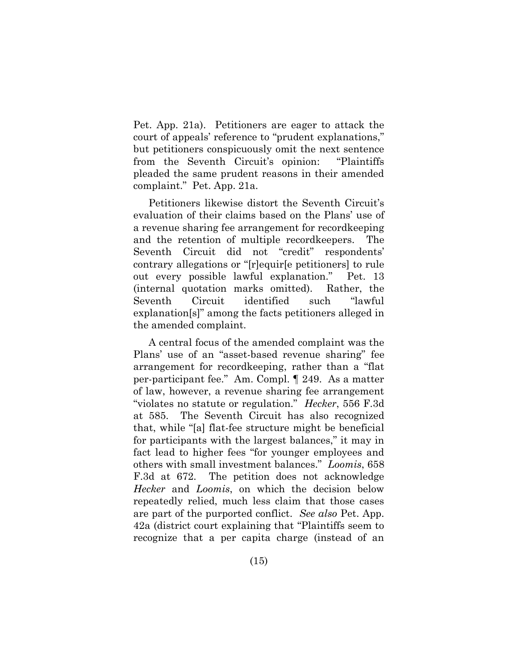Pet. App. 21a). Petitioners are eager to attack the court of appeals' reference to "prudent explanations," but petitioners conspicuously omit the next sentence from the Seventh Circuit's opinion: "Plaintiffs pleaded the same prudent reasons in their amended complaint." Pet. App. 21a.

Petitioners likewise distort the Seventh Circuit's evaluation of their claims based on the Plans' use of a revenue sharing fee arrangement for recordkeeping and the retention of multiple recordkeepers. The Seventh Circuit did not "credit" respondents' contrary allegations or "[r]equir[e petitioners] to rule out every possible lawful explanation." Pet. 13 (internal quotation marks omitted). Rather, the Seventh Circuit identified such "lawful explanation[s]" among the facts petitioners alleged in the amended complaint.

A central focus of the amended complaint was the Plans' use of an "asset-based revenue sharing" fee arrangement for recordkeeping, rather than a "flat per-participant fee." Am. Compl. ¶ 249. As a matter of law, however, a revenue sharing fee arrangement "violates no statute or regulation." *Hecker*, 556 F.3d at 585. The Seventh Circuit has also recognized that, while "[a] flat-fee structure might be beneficial for participants with the largest balances," it may in fact lead to higher fees "for younger employees and others with small investment balances." *Loomis*, 658 F.3d at 672. The petition does not acknowledge *Hecker* and *Loomis*, on which the decision below repeatedly relied, much less claim that those cases are part of the purported conflict. *See also* Pet. App. 42a (district court explaining that "Plaintiffs seem to recognize that a per capita charge (instead of an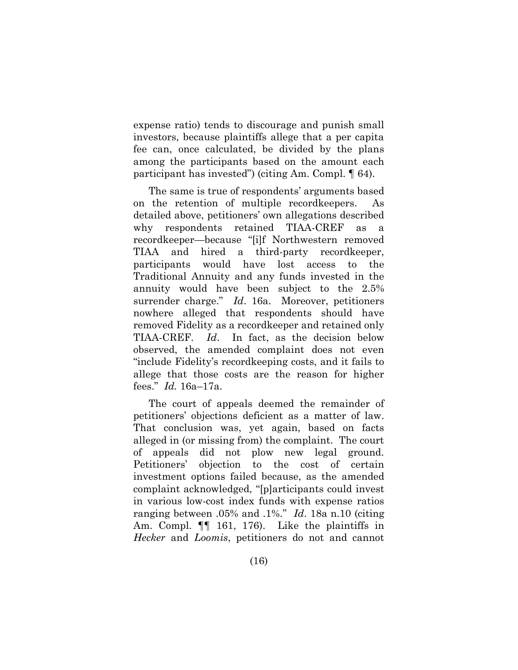expense ratio) tends to discourage and punish small investors, because plaintiffs allege that a per capita fee can, once calculated, be divided by the plans among the participants based on the amount each participant has invested") (citing Am. Compl. ¶ 64).

The same is true of respondents' arguments based on the retention of multiple recordkeepers. As detailed above, petitioners' own allegations described why respondents retained TIAA-CREF as a recordkeeper—because "[i]f Northwestern removed TIAA and hired a third-party recordkeeper, participants would have lost access to the Traditional Annuity and any funds invested in the annuity would have been subject to the 2.5% surrender charge." *Id*. 16a. Moreover, petitioners nowhere alleged that respondents should have removed Fidelity as a recordkeeper and retained only TIAA-CREF. *Id*. In fact, as the decision below observed, the amended complaint does not even "include Fidelity's recordkeeping costs, and it fails to allege that those costs are the reason for higher fees." *Id.* 16a–17a.

The court of appeals deemed the remainder of petitioners' objections deficient as a matter of law. That conclusion was, yet again, based on facts alleged in (or missing from) the complaint. The court of appeals did not plow new legal ground. Petitioners' objection to the cost of certain investment options failed because, as the amended complaint acknowledged, "[p]articipants could invest in various low-cost index funds with expense ratios ranging between .05% and .1%." *Id*. 18a n.10 (citing Am. Compl. ¶¶ 161, 176). Like the plaintiffs in *Hecker* and *Loomis*, petitioners do not and cannot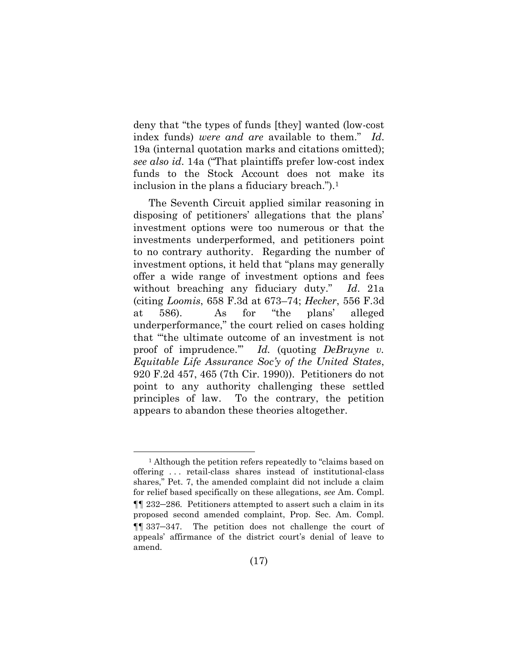deny that "the types of funds [they] wanted (low-cost index funds) *were and are* available to them." *Id*. 19a (internal quotation marks and citations omitted); *see also id*. 14a ("That plaintiffs prefer low-cost index funds to the Stock Account does not make its inclusion in the plans a fiduciary breach.").<sup>1</sup>

The Seventh Circuit applied similar reasoning in disposing of petitioners' allegations that the plans' investment options were too numerous or that the investments underperformed, and petitioners point to no contrary authority. Regarding the number of investment options, it held that "plans may generally offer a wide range of investment options and fees without breaching any fiduciary duty." *Id*. 21a (citing *Loomis*, 658 F.3d at 673–74; *Hecker*, 556 F.3d at 586). As for "the plans' alleged underperformance," the court relied on cases holding that "'the ultimate outcome of an investment is not proof of imprudence.'" *Id.* (quoting *DeBruyne v. Equitable Life Assurance Soc'y of the United States*, 920 F.2d 457, 465 (7th Cir. 1990)). Petitioners do not point to any authority challenging these settled principles of law. To the contrary, the petition appears to abandon these theories altogether.

<span id="page-23-0"></span><sup>&</sup>lt;sup>1</sup> Although the petition refers repeatedly to "claims based on offering . . . retail-class shares instead of institutional-class shares," Pet. 7, the amended complaint did not include a claim for relief based specifically on these allegations, *see* Am. Compl. ¶¶ 232–286. Petitioners attempted to assert such a claim in its proposed second amended complaint, Prop. Sec. Am. Compl. ¶¶ 337–347. The petition does not challenge the court of appeals' affirmance of the district court's denial of leave to amend.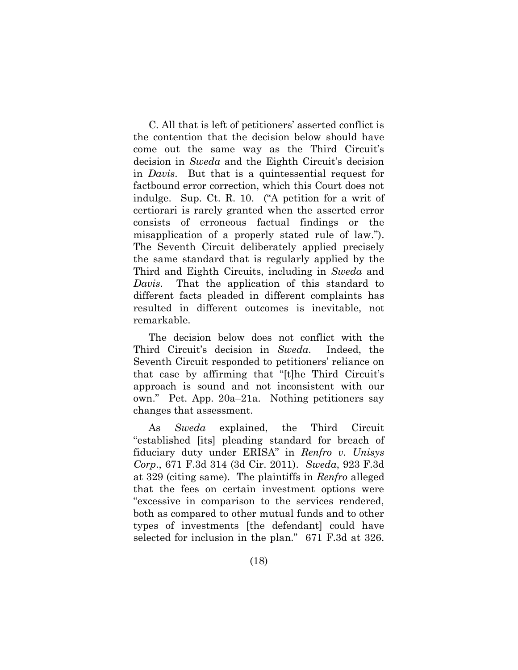<span id="page-24-1"></span>C. All that is left of petitioners' asserted conflict is the contention that the decision below should have come out the same way as the Third Circuit's decision in *Sweda* and the Eighth Circuit's decision in *Davis*. But that is a quintessential request for factbound error correction, which this Court does not indulge. Sup. Ct. R. 10. ("A petition for a writ of certiorari is rarely granted when the asserted error consists of erroneous factual findings or the misapplication of a properly stated rule of law."). The Seventh Circuit deliberately applied precisely the same standard that is regularly applied by the Third and Eighth Circuits, including in *Sweda* and *Davis*. That the application of this standard to different facts pleaded in different complaints has resulted in different outcomes is inevitable, not remarkable.

The decision below does not conflict with the Third Circuit's decision in *Sweda*. Indeed, the Seventh Circuit responded to petitioners' reliance on that case by affirming that "[t]he Third Circuit's approach is sound and not inconsistent with our own." Pet. App. 20a–21a. Nothing petitioners say changes that assessment.

<span id="page-24-0"></span>As *Sweda* explained, the Third Circuit "established [its] pleading standard for breach of fiduciary duty under ERISA" in *Renfro v. Unisys Corp*., 671 F.3d 314 (3d Cir. 2011). *Sweda*, 923 F.3d at 329 (citing same). The plaintiffs in *Renfro* alleged that the fees on certain investment options were "excessive in comparison to the services rendered, both as compared to other mutual funds and to other types of investments [the defendant] could have selected for inclusion in the plan." 671 F.3d at 326.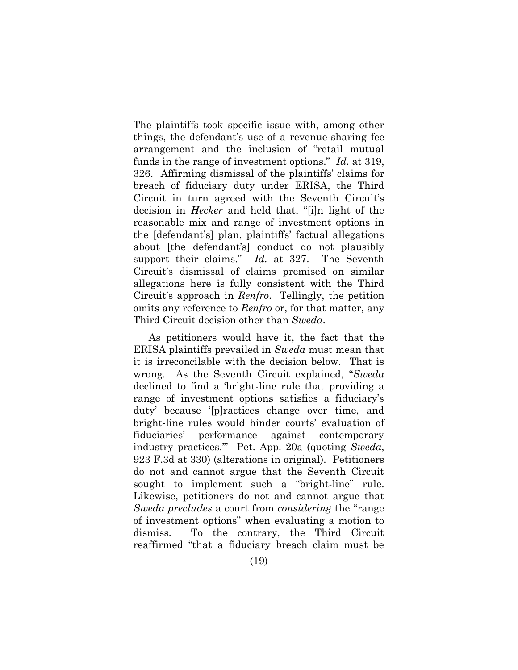The plaintiffs took specific issue with, among other things, the defendant's use of a revenue-sharing fee arrangement and the inclusion of "retail mutual funds in the range of investment options." *Id.* at 319, 326. Affirming dismissal of the plaintiffs' claims for breach of fiduciary duty under ERISA, the Third Circuit in turn agreed with the Seventh Circuit's decision in *Hecker* and held that, "[i]n light of the reasonable mix and range of investment options in the [defendant's] plan, plaintiffs' factual allegations about [the defendant's] conduct do not plausibly support their claims." *Id.* at 327. The Seventh Circuit's dismissal of claims premised on similar allegations here is fully consistent with the Third Circuit's approach in *Renfro*. Tellingly, the petition omits any reference to *Renfro* or, for that matter, any Third Circuit decision other than *Sweda*.

As petitioners would have it, the fact that the ERISA plaintiffs prevailed in *Sweda* must mean that it is irreconcilable with the decision below. That is wrong. As the Seventh Circuit explained, "*Sweda* declined to find a 'bright-line rule that providing a range of investment options satisfies a fiduciary's duty' because '[p]ractices change over time, and bright-line rules would hinder courts' evaluation of fiduciaries' performance against contemporary industry practices.'" Pet. App. 20a (quoting *Sweda*, 923 F.3d at 330) (alterations in original). Petitioners do not and cannot argue that the Seventh Circuit sought to implement such a "bright-line" rule. Likewise, petitioners do not and cannot argue that *Sweda precludes* a court from *considering* the "range of investment options" when evaluating a motion to dismiss. To the contrary, the Third Circuit reaffirmed "that a fiduciary breach claim must be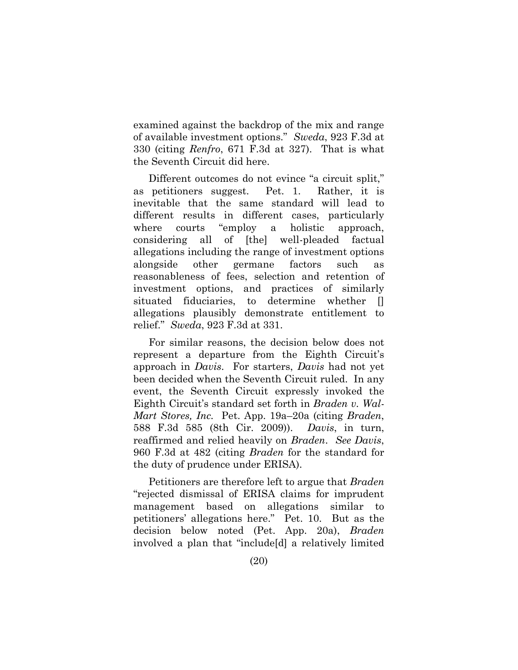examined against the backdrop of the mix and range of available investment options." *Sweda*, 923 F.3d at 330 (citing *Renfro*, 671 F.3d at 327). That is what the Seventh Circuit did here.

Different outcomes do not evince "a circuit split," as petitioners suggest. Pet. 1. Rather, it is inevitable that the same standard will lead to different results in different cases, particularly where courts "employ a holistic approach, considering all of [the] well-pleaded factual allegations including the range of investment options alongside other germane factors such as reasonableness of fees, selection and retention of investment options, and practices of similarly situated fiduciaries, to determine whether [] allegations plausibly demonstrate entitlement to relief." *Sweda*, 923 F.3d at 331.

<span id="page-26-0"></span>For similar reasons, the decision below does not represent a departure from the Eighth Circuit's approach in *Davis*. For starters, *Davis* had not yet been decided when the Seventh Circuit ruled. In any event, the Seventh Circuit expressly invoked the Eighth Circuit's standard set forth in *Braden v. Wal-Mart Stores, Inc.* Pet. App. 19a–20a (citing *Braden*, 588 F.3d 585 (8th Cir. 2009)). *Davis*, in turn, reaffirmed and relied heavily on *Braden*. *See Davis*, 960 F.3d at 482 (citing *Braden* for the standard for the duty of prudence under ERISA).

Petitioners are therefore left to argue that *Braden* "rejected dismissal of ERISA claims for imprudent management based on allegations similar to petitioners' allegations here." Pet. 10. But as the decision below noted (Pet. App. 20a), *Braden* involved a plan that "include[d] a relatively limited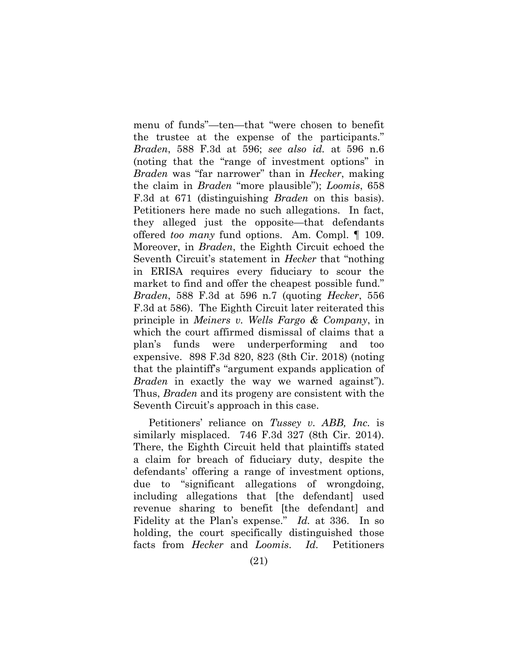<span id="page-27-0"></span>menu of funds"—ten—that "were chosen to benefit the trustee at the expense of the participants." *Braden*, 588 F.3d at 596; *see also id.* at 596 n.6 (noting that the "range of investment options" in *Braden* was "far narrower" than in *Hecker*, making the claim in *Braden* "more plausible"); *Loomis*, 658 F.3d at 671 (distinguishing *Braden* on this basis). Petitioners here made no such allegations. In fact, they alleged just the opposite—that defendants offered *too many* fund options. Am. Compl. ¶ 109. Moreover, in *Braden*, the Eighth Circuit echoed the Seventh Circuit's statement in *Hecker* that "nothing in ERISA requires every fiduciary to scour the market to find and offer the cheapest possible fund." *Braden*, 588 F.3d at 596 n.7 (quoting *Hecker*, 556 F.3d at 586). The Eighth Circuit later reiterated this principle in *Meiners v. Wells Fargo & Company*, in which the court affirmed dismissal of claims that a plan's funds were underperforming and too expensive. 898 F.3d 820, 823 (8th Cir. 2018) (noting that the plaintiff's "argument expands application of *Braden* in exactly the way we warned against"). Thus, *Braden* and its progeny are consistent with the Seventh Circuit's approach in this case.

<span id="page-27-2"></span><span id="page-27-1"></span>Petitioners' reliance on *Tussey v. ABB, Inc.* is similarly misplaced. 746 F.3d 327 (8th Cir. 2014). There, the Eighth Circuit held that plaintiffs stated a claim for breach of fiduciary duty, despite the defendants' offering a range of investment options, due to "significant allegations of wrongdoing, including allegations that [the defendant] used revenue sharing to benefit [the defendant] and Fidelity at the Plan's expense." *Id.* at 336. In so holding, the court specifically distinguished those facts from *Hecker* and *Loomis*. *Id.* Petitioners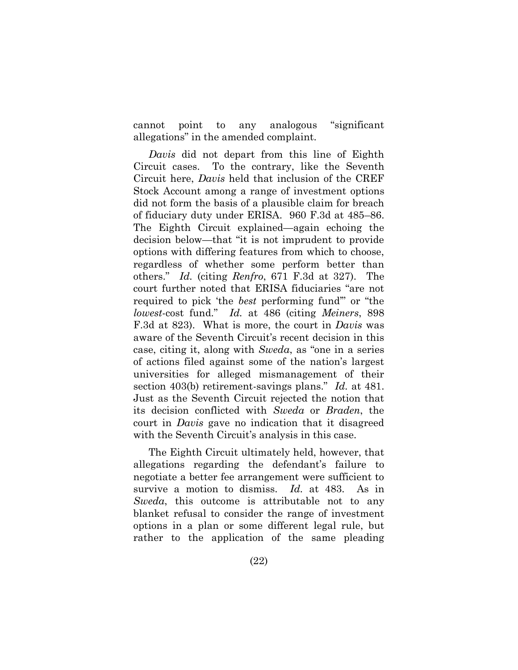cannot point to any analogous "significant allegations" in the amended complaint.

*Davis* did not depart from this line of Eighth Circuit cases. To the contrary, like the Seventh Circuit here, *Davis* held that inclusion of the CREF Stock Account among a range of investment options did not form the basis of a plausible claim for breach of fiduciary duty under ERISA. 960 F.3d at 485–86. The Eighth Circuit explained—again echoing the decision below—that "it is not imprudent to provide options with differing features from which to choose, regardless of whether some perform better than others." *Id.* (citing *Renfro*, 671 F.3d at 327). The court further noted that ERISA fiduciaries "are not required to pick 'the *best* performing fund'" or "the *lowest*-cost fund." *Id.* at 486 (citing *Meiners*, 898 F.3d at 823). What is more, the court in *Davis* was aware of the Seventh Circuit's recent decision in this case, citing it, along with *Sweda*, as "one in a series of actions filed against some of the nation's largest universities for alleged mismanagement of their section 403(b) retirement-savings plans." *Id.* at 481. Just as the Seventh Circuit rejected the notion that its decision conflicted with *Sweda* or *Braden*, the court in *Davis* gave no indication that it disagreed with the Seventh Circuit's analysis in this case.

<span id="page-28-0"></span>The Eighth Circuit ultimately held, however, that allegations regarding the defendant's failure to negotiate a better fee arrangement were sufficient to survive a motion to dismiss. *Id.* at 483. As in *Sweda*, this outcome is attributable not to any blanket refusal to consider the range of investment options in a plan or some different legal rule, but rather to the application of the same pleading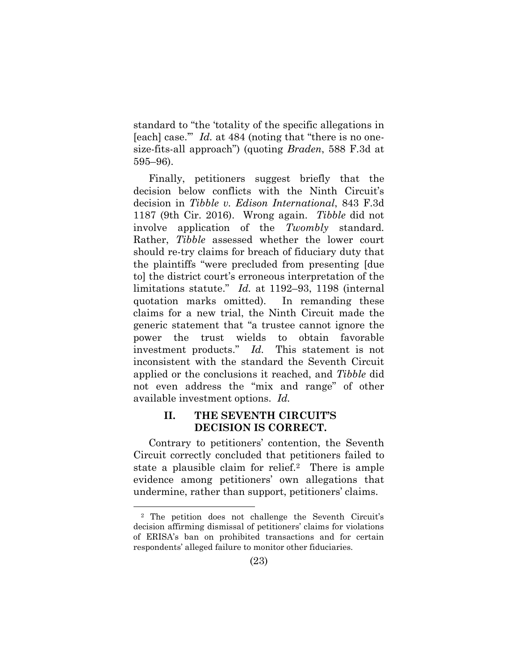<span id="page-29-0"></span>standard to "the 'totality of the specific allegations in [each] case.'" *Id.* at 484 (noting that "there is no onesize-fits-all approach") (quoting *Braden*, 588 F.3d at 595–96).

<span id="page-29-1"></span>Finally, petitioners suggest briefly that the decision below conflicts with the Ninth Circuit's decision in *Tibble v. Edison International*, 843 F.3d 1187 (9th Cir. 2016). Wrong again. *Tibble* did not involve application of the *Twombly* standard. Rather, *Tibble* assessed whether the lower court should re-try claims for breach of fiduciary duty that the plaintiffs "were precluded from presenting [due to] the district court's erroneous interpretation of the limitations statute." *Id.* at 1192–93, 1198 (internal quotation marks omitted).In remanding these claims for a new trial, the Ninth Circuit made the generic statement that "a trustee cannot ignore the power the trust wields to obtain favorable investment products." *Id.* This statement is not inconsistent with the standard the Seventh Circuit applied or the conclusions it reached, and *Tibble* did not even address the "mix and range" of other available investment options. *Id.*

### **II. THE SEVENTH CIRCUIT'S DECISION IS CORRECT.**

Contrary to petitioners' contention, the Seventh Circuit correctly concluded that petitioners failed to state a plausible claim for relief.2 There is ample evidence among petitioners' own allegations that undermine, rather than support, petitioners' claims.

<sup>2</sup> The petition does not challenge the Seventh Circuit's decision affirming dismissal of petitioners' claims for violations of ERISA's ban on prohibited transactions and for certain respondents' alleged failure to monitor other fiduciaries.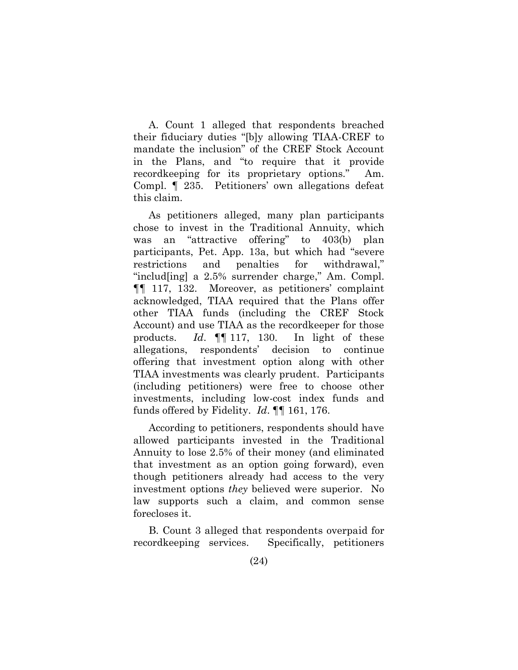A. Count 1 alleged that respondents breached their fiduciary duties "[b]y allowing TIAA-CREF to mandate the inclusion" of the CREF Stock Account in the Plans, and "to require that it provide recordkeeping for its proprietary options." Am. Compl. ¶ 235. Petitioners' own allegations defeat this claim.

As petitioners alleged, many plan participants chose to invest in the Traditional Annuity, which was an "attractive offering" to 403(b) plan participants, Pet. App. 13a, but which had "severe restrictions and penalties for withdrawal," "includ[ing] a 2.5% surrender charge," Am. Compl. ¶¶ 117, 132. Moreover, as petitioners' complaint acknowledged, TIAA required that the Plans offer other TIAA funds (including the CREF Stock Account) and use TIAA as the recordkeeper for those products. *Id*. ¶¶ 117, 130. In light of these allegations, respondents' decision to continue offering that investment option along with other TIAA investments was clearly prudent. Participants (including petitioners) were free to choose other investments, including low-cost index funds and funds offered by Fidelity. *Id*. ¶¶ 161, 176.

According to petitioners, respondents should have allowed participants invested in the Traditional Annuity to lose 2.5% of their money (and eliminated that investment as an option going forward), even though petitioners already had access to the very investment options *they* believed were superior. No law supports such a claim, and common sense forecloses it.

B. Count 3 alleged that respondents overpaid for recordkeeping services. Specifically, petitioners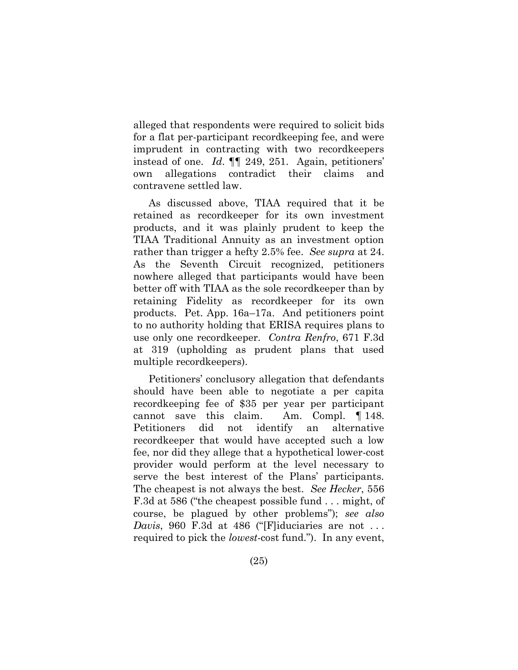alleged that respondents were required to solicit bids for a flat per-participant recordkeeping fee, and were imprudent in contracting with two recordkeepers instead of one. *Id*. ¶¶ 249, 251. Again, petitioners' own allegations contradict their claims and contravene settled law.

As discussed above, TIAA required that it be retained as recordkeeper for its own investment products, and it was plainly prudent to keep the TIAA Traditional Annuity as an investment option rather than trigger a hefty 2.5% fee. *See supra* at 24. As the Seventh Circuit recognized, petitioners nowhere alleged that participants would have been better off with TIAA as the sole recordkeeper than by retaining Fidelity as recordkeeper for its own products. Pet. App. 16a–17a. And petitioners point to no authority holding that ERISA requires plans to use only one recordkeeper. *Contra Renfro*, 671 F.3d at 319 (upholding as prudent plans that used multiple recordkeepers).

Petitioners' conclusory allegation that defendants should have been able to negotiate a per capita recordkeeping fee of \$35 per year per participant cannot save this claim. Am. Compl. ¶ 148. Petitioners did not identify an alternative recordkeeper that would have accepted such a low fee, nor did they allege that a hypothetical lower-cost provider would perform at the level necessary to serve the best interest of the Plans' participants. The cheapest is not always the best. *See Hecker*, 556 F.3d at 586 ("the cheapest possible fund . . . might, of course, be plagued by other problems"); *see also Davis*, 960 F.3d at 486 ("[F]iduciaries are not . . . required to pick the *lowest*-cost fund."). In any event,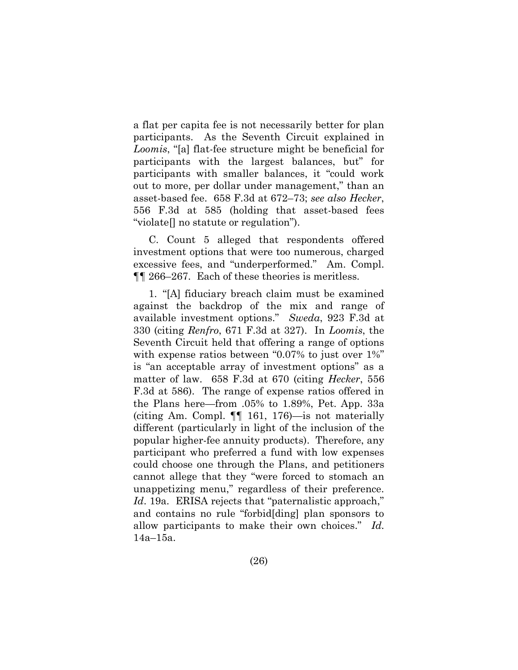a flat per capita fee is not necessarily better for plan participants. As the Seventh Circuit explained in *Loomis*, "[a] flat-fee structure might be beneficial for participants with the largest balances, but" for participants with smaller balances, it "could work out to more, per dollar under management," than an asset-based fee. 658 F.3d at 672–73; *see also Hecker*, 556 F.3d at 585 (holding that asset-based fees "violate[] no statute or regulation").

C. Count 5 alleged that respondents offered investment options that were too numerous, charged excessive fees, and "underperformed." Am. Compl. ¶¶ 266–267. Each of these theories is meritless.

1. "[A] fiduciary breach claim must be examined against the backdrop of the mix and range of available investment options." *Sweda*, 923 F.3d at 330 (citing *Renfro*, 671 F.3d at 327). In *Loomis*, the Seventh Circuit held that offering a range of options with expense ratios between "0.07% to just over 1%" is "an acceptable array of investment options" as a matter of law. 658 F.3d at 670 (citing *Hecker*, 556 F.3d at 586). The range of expense ratios offered in the Plans here—from .05% to 1.89%, Pet. App. 33a (citing Am. Compl. ¶¶ 161, 176)—is not materially different (particularly in light of the inclusion of the popular higher-fee annuity products). Therefore, any participant who preferred a fund with low expenses could choose one through the Plans, and petitioners cannot allege that they "were forced to stomach an unappetizing menu," regardless of their preference. Id. 19a. ERISA rejects that "paternalistic approach," and contains no rule "forbid[ding] plan sponsors to allow participants to make their own choices." *Id.* 14a–15a.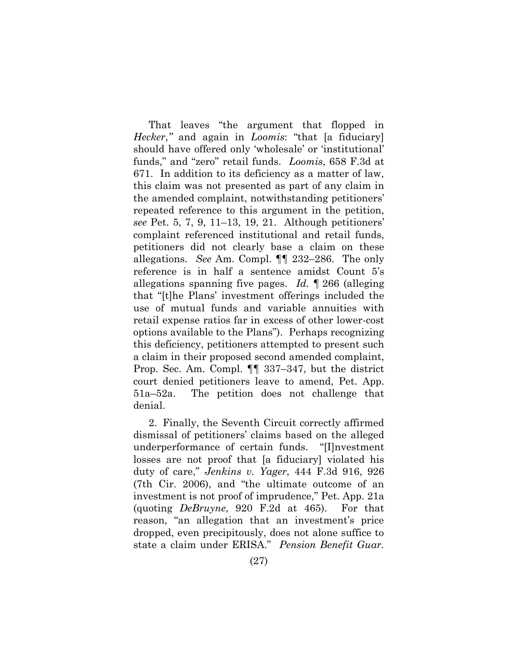That leaves "the argument that flopped in *Hecker*,*"* and again in *Loomis*: "that [a fiduciary] should have offered only 'wholesale' or 'institutional' funds," and "zero" retail funds. *Loomis*, 658 F.3d at 671. In addition to its deficiency as a matter of law, this claim was not presented as part of any claim in the amended complaint, notwithstanding petitioners' repeated reference to this argument in the petition, *see* Pet. 5, 7, 9, 11–13, 19, 21. Although petitioners' complaint referenced institutional and retail funds, petitioners did not clearly base a claim on these allegations. *See* Am. Compl. ¶¶ 232–286. The only reference is in half a sentence amidst Count 5's allegations spanning five pages. *Id.* ¶ 266 (alleging that "[t]he Plans' investment offerings included the use of mutual funds and variable annuities with retail expense ratios far in excess of other lower-cost options available to the Plans"). Perhaps recognizing this deficiency, petitioners attempted to present such a claim in their proposed second amended complaint, Prop. Sec. Am. Compl. ¶¶ 337–347, but the district court denied petitioners leave to amend, Pet. App. 51a–52a. The petition does not challenge that denial.

<span id="page-33-2"></span><span id="page-33-1"></span><span id="page-33-0"></span>2. Finally, the Seventh Circuit correctly affirmed dismissal of petitioners' claims based on the alleged underperformance of certain funds. "[I]nvestment losses are not proof that [a fiduciary] violated his duty of care," *Jenkins v. Yager*, 444 F.3d 916, 926 (7th Cir. 2006), and "the ultimate outcome of an investment is not proof of imprudence," Pet. App. 21a (quoting *DeBruyne*, 920 F.2d at 465). For that reason, "an allegation that an investment's price dropped, even precipitously, does not alone suffice to state a claim under ERISA." *Pension Benefit Guar.*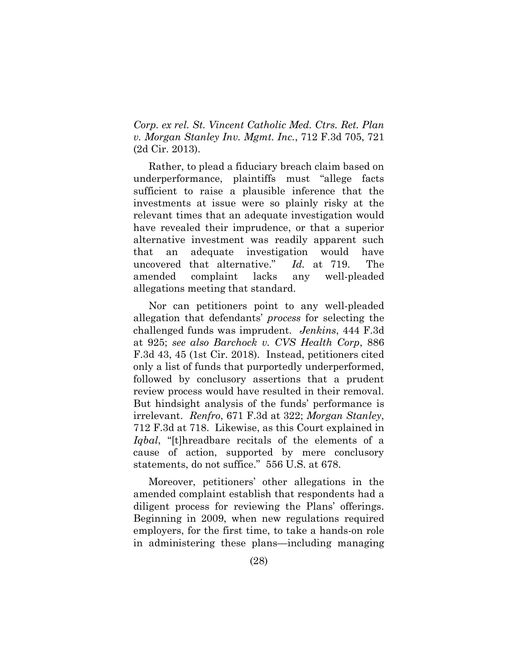*Corp. ex rel. St. Vincent Catholic Med. Ctrs. Ret. Plan v. Morgan Stanley Inv. Mgmt. Inc.*, 712 F.3d 705, 721 (2d Cir. 2013).

Rather, to plead a fiduciary breach claim based on underperformance, plaintiffs must "allege facts sufficient to raise a plausible inference that the investments at issue were so plainly risky at the relevant times that an adequate investigation would have revealed their imprudence, or that a superior alternative investment was readily apparent such that an adequate investigation would have uncovered that alternative." *Id.* at 719. The amended complaint lacks any well-pleaded allegations meeting that standard.

<span id="page-34-3"></span><span id="page-34-2"></span><span id="page-34-1"></span>Nor can petitioners point to any well-pleaded allegation that defendants' *process* for selecting the challenged funds was imprudent. *Jenkins*, 444 F.3d at 925; *see also Barchock v. CVS Health Corp*, 886 F.3d 43, 45 (1st Cir. 2018). Instead, petitioners cited only a list of funds that purportedly underperformed, followed by conclusory assertions that a prudent review process would have resulted in their removal. But hindsight analysis of the funds' performance is irrelevant. *Renfro*, 671 F.3d at 322; *Morgan Stanley*, 712 F.3d at 718. Likewise, as this Court explained in *Iqbal*, "[t]hreadbare recitals of the elements of a cause of action, supported by mere conclusory statements, do not suffice." 556 U.S. at 678.

<span id="page-34-0"></span>Moreover, petitioners' other allegations in the amended complaint establish that respondents had a diligent process for reviewing the Plans' offerings. Beginning in 2009, when new regulations required employers, for the first time, to take a hands-on role in administering these plans—including managing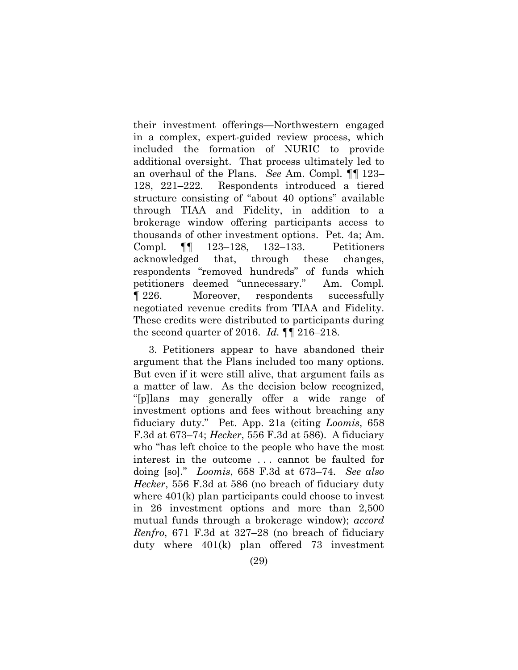their investment offerings—Northwestern engaged in a complex, expert-guided review process, which included the formation of NURIC to provide additional oversight. That process ultimately led to an overhaul of the Plans. *See* Am. Compl. ¶¶ 123– 128, 221–222. Respondents introduced a tiered structure consisting of "about 40 options" available through TIAA and Fidelity, in addition to a brokerage window offering participants access to thousands of other investment options. Pet. 4a; Am. Compl*.* ¶¶ 123–128, 132–133. Petitioners acknowledged that, through these changes, respondents "removed hundreds" of funds which petitioners deemed "unnecessary." Am. Compl*.* ¶ 226. Moreover, respondents successfully negotiated revenue credits from TIAA and Fidelity. These credits were distributed to participants during the second quarter of 2016. *Id.* ¶¶ 216–218.

3. Petitioners appear to have abandoned their argument that the Plans included too many options. But even if it were still alive, that argument fails as a matter of law. As the decision below recognized, "[p]lans may generally offer a wide range of investment options and fees without breaching any fiduciary duty." Pet. App. 21a (citing *Loomis*, 658 F.3d at 673–74; *Hecker*, 556 F.3d at 586). A fiduciary who "has left choice to the people who have the most interest in the outcome . . . cannot be faulted for doing [so]." *Loomis*, 658 F.3d at 673–74. *See also Hecker*, 556 F.3d at 586 (no breach of fiduciary duty where  $401(k)$  plan participants could choose to invest in 26 investment options and more than 2,500 mutual funds through a brokerage window); *accord Renfro*, 671 F.3d at 327–28 (no breach of fiduciary duty where 401(k) plan offered 73 investment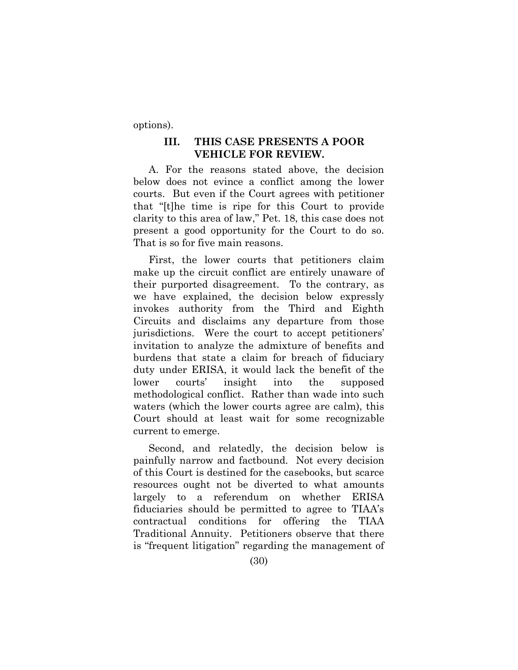options).

### **III. THIS CASE PRESENTS A POOR VEHICLE FOR REVIEW.**

A. For the reasons stated above, the decision below does not evince a conflict among the lower courts. But even if the Court agrees with petitioner that "[t]he time is ripe for this Court to provide clarity to this area of law," Pet. 18, this case does not present a good opportunity for the Court to do so. That is so for five main reasons.

First, the lower courts that petitioners claim make up the circuit conflict are entirely unaware of their purported disagreement. To the contrary, as we have explained, the decision below expressly invokes authority from the Third and Eighth Circuits and disclaims any departure from those jurisdictions. Were the court to accept petitioners' invitation to analyze the admixture of benefits and burdens that state a claim for breach of fiduciary duty under ERISA, it would lack the benefit of the lower courts' insight into the supposed methodological conflict. Rather than wade into such waters (which the lower courts agree are calm), this Court should at least wait for some recognizable current to emerge.

Second, and relatedly, the decision below is painfully narrow and factbound. Not every decision of this Court is destined for the casebooks, but scarce resources ought not be diverted to what amounts largely to a referendum on whether ERISA fiduciaries should be permitted to agree to TIAA's contractual conditions for offering the TIAA Traditional Annuity. Petitioners observe that there is "frequent litigation" regarding the management of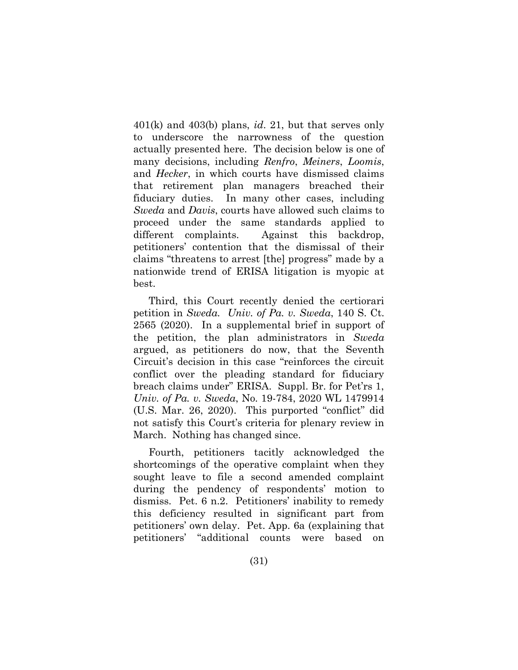401(k) and 403(b) plans, *id*. 21, but that serves only to underscore the narrowness of the question actually presented here. The decision below is one of many decisions, including *Renfro*, *Meiners*, *Loomis*, and *Hecker*, in which courts have dismissed claims that retirement plan managers breached their fiduciary duties. In many other cases, including *Sweda* and *Davis*, courts have allowed such claims to proceed under the same standards applied to different complaints.Against this backdrop, petitioners' contention that the dismissal of their claims "threatens to arrest [the] progress" made by a nationwide trend of ERISA litigation is myopic at best.

<span id="page-37-0"></span>Third, this Court recently denied the certiorari petition in *Sweda. Univ. of Pa. v. Sweda*, 140 S. Ct. 2565 (2020). In a supplemental brief in support of the petition, the plan administrators in *Sweda* argued, as petitioners do now, that the Seventh Circuit's decision in this case "reinforces the circuit conflict over the pleading standard for fiduciary breach claims under" ERISA. Suppl. Br. for Pet'rs 1, *Univ. of Pa. v. Sweda*, No. 19-784, 2020 WL 1479914 (U.S. Mar. 26, 2020). This purported "conflict" did not satisfy this Court's criteria for plenary review in March. Nothing has changed since.

<span id="page-37-1"></span>Fourth, petitioners tacitly acknowledged the shortcomings of the operative complaint when they sought leave to file a second amended complaint during the pendency of respondents' motion to dismiss. Pet. 6 n.2. Petitioners' inability to remedy this deficiency resulted in significant part from petitioners' own delay. Pet. App. 6a (explaining that petitioners' "additional counts were based on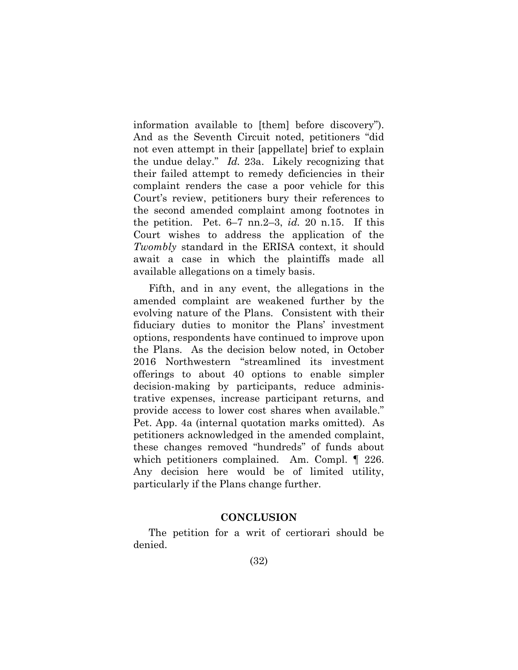information available to [them] before discovery"). And as the Seventh Circuit noted, petitioners "did not even attempt in their [appellate] brief to explain the undue delay." *Id.* 23a. Likely recognizing that their failed attempt to remedy deficiencies in their complaint renders the case a poor vehicle for this Court's review, petitioners bury their references to the second amended complaint among footnotes in the petition. Pet. 6–7 nn.2–3, *id.* 20 n.15. If this Court wishes to address the application of the *Twombly* standard in the ERISA context, it should await a case in which the plaintiffs made all available allegations on a timely basis.

Fifth, and in any event, the allegations in the amended complaint are weakened further by the evolving nature of the Plans. Consistent with their fiduciary duties to monitor the Plans' investment options, respondents have continued to improve upon the Plans. As the decision below noted, in October 2016 Northwestern "streamlined its investment offerings to about 40 options to enable simpler decision-making by participants, reduce administrative expenses, increase participant returns, and provide access to lower cost shares when available." Pet. App. 4a (internal quotation marks omitted). As petitioners acknowledged in the amended complaint, these changes removed "hundreds" of funds about which petitioners complained. Am. Compl. ¶ 226. Any decision here would be of limited utility, particularly if the Plans change further.

### **CONCLUSION**

The petition for a writ of certiorari should be denied.